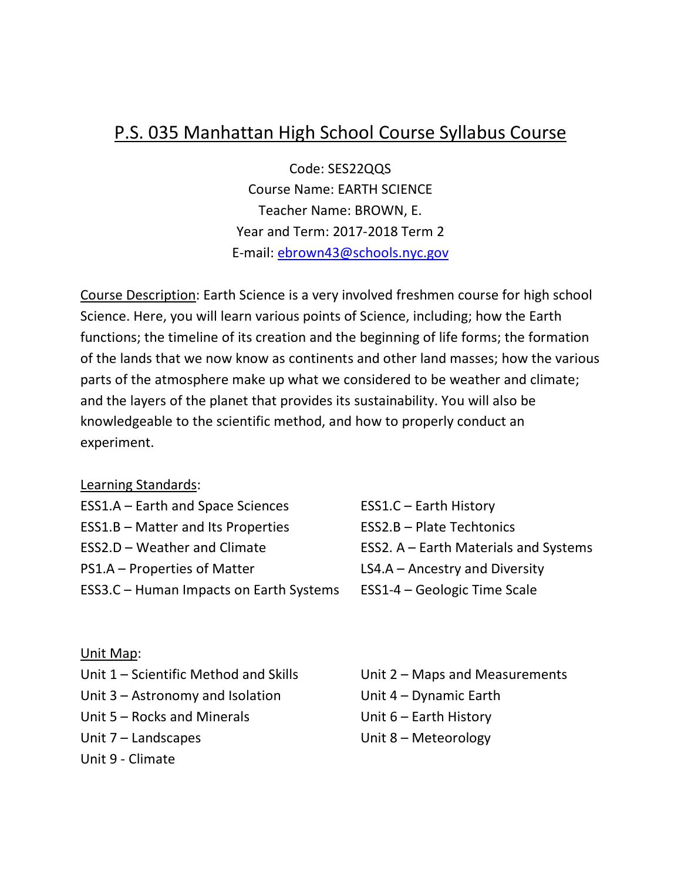# P.S. 035 Manhattan High School Course Syllabus Course

Code: SES22QQS Course Name: EARTH SCIENCE Teacher Name: BROWN, E. Year and Term: 2017-2018 Term 2 E-mail: ebrown43@schools.nyc.gov

Course Description: Earth Science is a very involved freshmen course for high school Science. Here, you will learn various points of Science, including; how the Earth functions; the timeline of its creation and the beginning of life forms; the formation of the lands that we now know as continents and other land masses; how the various parts of the atmosphere make up what we considered to be weather and climate; and the layers of the planet that provides its sustainability. You will also be knowledgeable to the scientific method, and how to properly conduct an experiment.

#### Learning Standards:

| ESS1.A - Earth and Space Sciences         | <b>ESS1.C - Earth History</b>         |
|-------------------------------------------|---------------------------------------|
| <b>ESS1.B - Matter and Its Properties</b> | ESS2.B - Plate Techtonics             |
| ESS2.D - Weather and Climate              | ESS2. A - Earth Materials and Systems |
| PS1.A – Properties of Matter              | $LS4.A - Ancestry$ and Diversity      |
| ESS3.C - Human Impacts on Earth Systems   | ESS1-4 – Geologic Time Scale          |

#### Unit Map:

| Unit 1 – Scientific Method and Skills |  |
|---------------------------------------|--|
| Unit $3 -$ Astronomy and Isolation    |  |
| Unit 5 – Rocks and Minerals           |  |
| Unit $7$ – Landscapes                 |  |
| Unit 9 - Climate                      |  |

Unit  $2$  – Maps and Measurements Unit  $4$  – Dynamic Earth Unit  $6$  – Earth History Unit  $8$  – Meteorology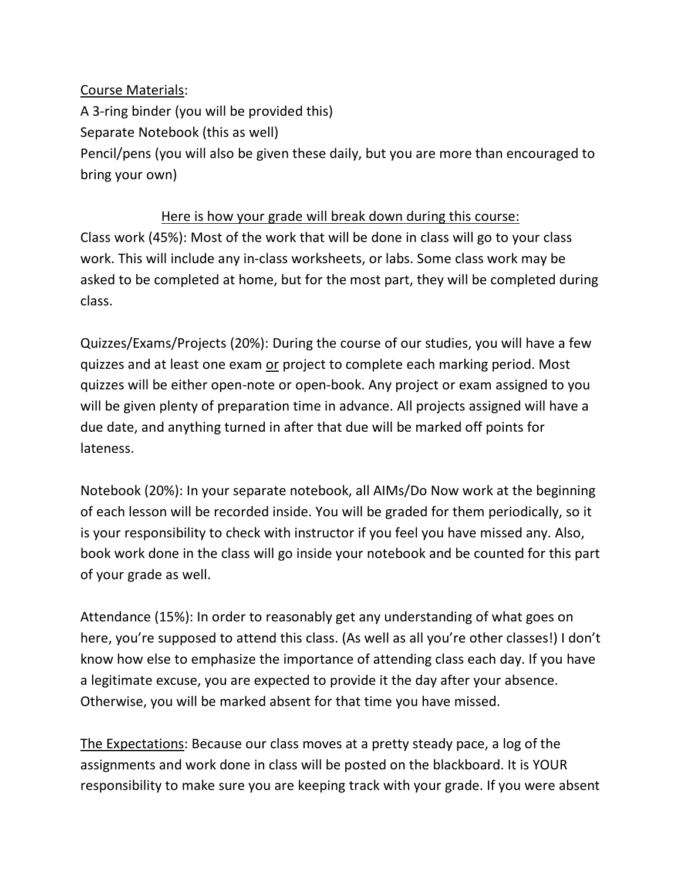## Course Materials: A 3-ring binder (you will be provided this) Separate Notebook (this as well) Pencil/pens (you will also be given these daily, but you are more than encouraged to bring your own)

### Here is how your grade will break down during this course:

Class work (45%): Most of the work that will be done in class will go to your class work. This will include any in-class worksheets, or labs. Some class work may be asked to be completed at home, but for the most part, they will be completed during class.

Quizzes/Exams/Projects (20%): During the course of our studies, you will have a few quizzes and at least one exam or project to complete each marking period. Most quizzes will be either open-note or open-book. Any project or exam assigned to you will be given plenty of preparation time in advance. All projects assigned will have a due date, and anything turned in after that due will be marked off points for lateness.

Notebook (20%): In your separate notebook, all AIMs/Do Now work at the beginning of each lesson will be recorded inside. You will be graded for them periodically, so it is your responsibility to check with instructor if you feel you have missed any. Also, book work done in the class will go inside your notebook and be counted for this part of your grade as well.

Attendance (15%): In order to reasonably get any understanding of what goes on here, you're supposed to attend this class. (As well as all you're other classes!) I don't know how else to emphasize the importance of attending class each day. If you have a legitimate excuse, you are expected to provide it the day after your absence. Otherwise, you will be marked absent for that time you have missed.

The Expectations: Because our class moves at a pretty steady pace, a log of the assignments and work done in class will be posted on the blackboard. It is YOUR responsibility to make sure you are keeping track with your grade. If you were absent